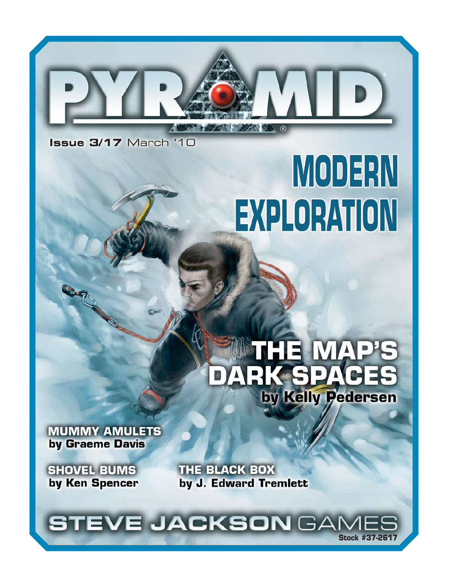<span id="page-0-0"></span>Issue 3/17 March '10

# MODERN **EXPLORATION**

### IMA Е **RK SPACES** DYA by Kelly Pedersen

**MUMMY AMULETS** by Graeme Davis

**SHOVEL BUMS** by Ken Spencer

THE BLACK BOX by J. Edward Tremlett

BASKAN NO. 8

# **STEVE JACKSON GAMES**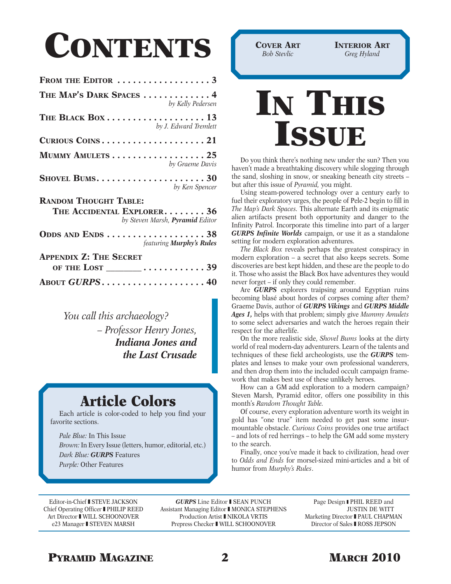## **CONTENTS CONTENTS CONTENTS CONTENTS CONTENTS CONTENTS CONTENTS CONTENTS CONTENTS CONTENTS CONTENTS CONTENTS CONTENTS CONTENTS CONTENTS CONTENTS CONTENTS CONTENTS CONTENTS CONTENTS C**

| FROM THE EDITOR  3                                                                           |
|----------------------------------------------------------------------------------------------|
| THE MAP'S DARK SPACES  4<br>by Kelly Pedersen                                                |
| THE BLACK BOX 13<br>by J. Edward Tremlett                                                    |
| CURIOUS COINS21                                                                              |
| MUMMY AMULETS 25<br>by Graeme Davis                                                          |
| SHOVEL BUMS30<br>by Ken Spencer                                                              |
| <b>RANDOM THOUGHT TABLE:</b><br>THE ACCIDENTAL EXPLORER36<br>by Steven Marsh, Pyramid Editor |
| ODDS AND ENDS  38<br>featuring <b>Murphy's Rules</b>                                         |
| <b>APPENDIX Z: THE SECRET</b>                                                                |
| ABOUT GURPS40                                                                                |

*You call this archaeology? – Professor Henry Jones, Indiana Jones and the Last Crusade*

## Article Colors

Each article is color-coded to help you find your favorite sections.

*Pale Blue:* In This Issue

*Brown:* In Every Issue (letters, humor, editorial, etc.) *Dark Blue: GURPS* Features *Purple:* Other Features

**COVER ART** *Bob Stevlic* 



Do you think there's nothing new under the sun? Then you haven't made a breathtaking discovery while slogging through the sand, sloshing in snow, or sneaking beneath city streets – but after this issue of *Pyramid,* you might.

Using steam-powered technology over a century early to fuel their exploratory urges, the people of Pele-2 begin to fill in *The Map's Dark Spaces.* This alternate Earth and its enigmatic alien artifacts present both opportunity and danger to the Infinity Patrol. Incorporate this timeline into part of a larger *GURPS Infinite Worlds* campaign, or use it as a standalone setting for modern exploration adventures.

*The Black Box* reveals perhaps the greatest conspiracy in modern exploration – a secret that also keeps secrets. Some discoveries are best kept hidden, and these are the people to do it. Those who assist the Black Box have adventures they would never forget – if only they could remember.

Are *GURPS* explorers traipsing around Egyptian ruins becoming blasé about hordes of corpses coming after them? Graeme Davis, author of *GURPS Vikings* and *GURPS Middle Ages 1,* helps with that problem; simply give *Mummy Amulets* to some select adversaries and watch the heroes regain their respect for the afterlife.

On the more realistic side, *Shovel Bums* looks at the dirty world of real modern-day adventurers. Learn of the talents and techniques of these field archeologists, use the *GURPS* templates and lenses to make your own professional wanderers, and then drop them into the included occult campaign framework that makes best use of these unlikely heroes.

How can a GM add exploration to a modern campaign? Steven Marsh, Pyramid editor, offers one possibility in this month's *Random Thought Table.*

Of course, every exploration adventure worth its weight in gold has "one true" item needed to get past some insurmountable obstacle. *Curious Coins* provides one true artifact – and lots of red herrings – to help the GM add some mystery to the search.

Finally, once you've made it back to civilization, head over to *Odds and Ends* for morsel-sized mini-articles and a bit of humor from *Murphy's Rules*.

Editor-in-Chief ❚ STEVE JACKSON Chief Operating Officer ❚ PHILIP REED Art Director I WILL SCHOONOVER e23 Manager ❚ STEVEN MARSH

*GURPS* Line Editor ❚ SEAN PUNCH Assistant Managing Editor ❚ MONICA STEPHENS Production Artist ❚ NIKOLA VRTIS Prepress Checker ❚ WILL SCHOONOVER

Page Design ∎ PHIL REED and JUSTIN DE WITT Marketing Director ❚ PAUL CHAPMAN Director of Sales ❚ ROSS JEPSON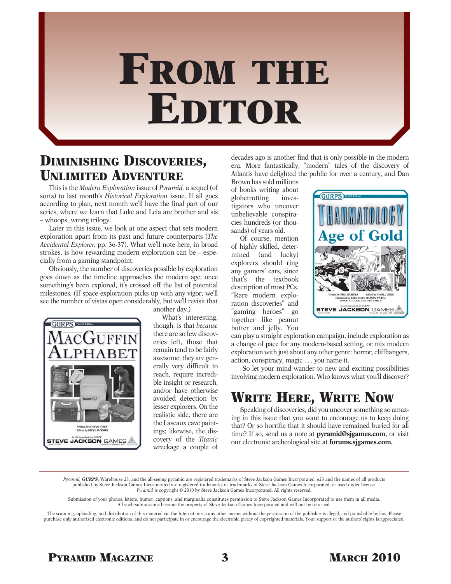# <span id="page-2-0"></span>FROM THE EDITOR

## DIMINISHING DISCOVERIES, UNLIMITED ADVENTURE

This is the *Modern Exploration* issue of *Pyramid,* a sequel (of sorts) to last month's *Historical Exploration* issue. If all goes according to plan, next month we'll have the final part of our series, where we learn that Luke and Leia are brother and sis – whoops, wrong trilogy.

Later in this issue, we look at one aspect that sets modern exploration apart from its past and future counterparts (*The Accidental Explorer,* pp. 36-37). What we'll note here, in broad strokes, is how rewarding modern exploration can be – especially from a gaming standpoint.

Obviously, the number of discoveries possible by exploration goes down as the timeline approaches the modern age; once something's been explored, it's crossed off the list of potential milestones. (If space exploration picks up with any vigor, we'll see the number of vistas open considerably, but we'll revisit that



another day.)

What's interesting, though, is that *because* there are so few discoveries left, those that remain tend to be fairly awesome; they are generally very difficult to reach, require incredible insight or research, and/or have otherwise avoided detection by lesser explorers. On the realistic side, there are the Lascaux cave paintings; likewise, the discovery of the *Titanic* wreckage a couple of

decades ago is another find that is only possible in the modern era. More fantastically, "modern" tales of the discovery of Atlantis have delighted the public for over a century, and Dan

Brown has sold millions of books writing about globetrotting investigators who uncover unbelievable conspiracies hundreds (or thousands) of years old.

Of course, mention of highly skilled, determined (and lucky) explorers should ring any gamers' ears, since that's the textbook description of most PCs. "Rare modern exploration discoveries" and "gaming heroes" go together like peanut butter and jelly. You



can play a straight exploration campaign, include exploration as a change of pace for any modern-based setting, or mix modern exploration with just about any other genre: horror, cliffhangers, action, conspiracy, magic . . . you name it.

So let your mind wander to new and exciting possibilities involving modern exploration. Who knows what you'll discover?

## WRITE HERE, WRITE NOW

Speaking of discoveries, did you uncover something so amazing in this issue that you want to encourage us to keep doing that? Or so horrific that it should have remained buried for all time? If so, send us a note at **[pyramid@sjgames.com](mailto:pyramid@sjgames.com),** or visit our electronic archeological site at **[forums.sjgames.com.](forums.sjgames.com)**

*Pyramid, GURPS*, Warehouse 23, and the all-seeing pyramid are registered trademarks of Steve Jackson Games Incorporated. e23 and the names of all products published by Steve Jackson Games Incorporated are registered trademarks or trademarks of Steve Jackson Games Incorporated, or used under license. *Pyramid* is copyright © 2010 by Steve Jackson Games Incorporated. All rights reserved.

Submission of your photos, letters, humor, captions, and marginalia constitutes permission to Steve Jackson Games Incorporated to use them in all media.<br>All such submissions become the property of Steve Jackson Games Incor

The scanning, uploading, and distribution of this material via the Internet or via any other means without the permission of the publisher is illegal, and punishable by law. Please purchase only authorized electronic editions, and do not participate in or encourage the electronic piracy of copyrighted materials. Your support of the authors' rights is appreciated.

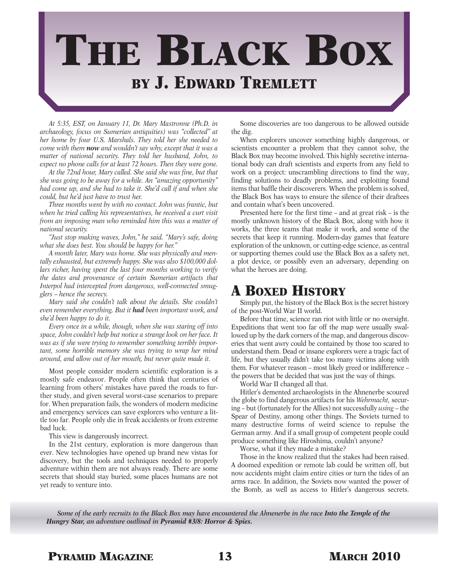# <span id="page-3-0"></span>THE BLACK BOX BY J. EDWARD TREMLETT

*At 5:35, EST, on January 11, Dr. Mary Mastronne (Ph.D. in archaeology, focus on Sumerian antiquities) was "collected" at her home by four U.S. Marshals. They told her she needed to come with them now and wouldn't say why, except that it was a matter of national security. They told her husband, John, to expect no phone calls for at least 72 hours. Then they were gone.*

*At the 72nd hour, Mary called. She said she was fine, but that she was going to be away for a while. An "amazing opportunity" had come up, and she had to take it. She'd call if and when she could, but he'd just have to trust her.*

*Three months went by with no contact. John was frantic, but when he tried calling his representatives, he received a curt visit from an imposing man who reminded him this was a matter of national security.* 

*"Just stop making waves, John," he said. "Mary's safe, doing what she does best. You should be happy for her."*

*A month later, Mary was home. She was physically and mentally exhausted, but extremely happy. She was also \$100,000 dollars richer, having spent the last four months working to verify the dates and provenance of certain Sumerian artifacts that Interpol had intercepted from dangerous, well-connected smugglers* – *hence the secrecy.*

*Mary said she couldn't talk about the details. She couldn't even remember everything. But it had been important work, and she'd been happy to do it.* 

*Every once in a while, though, when she was staring off into space, John couldn't help but notice a strange look on her face. It was as if she were trying to remember something terribly important, some horrible memory she was trying to wrap her mind around, and allow out of her mouth, but never quite made it.* 

Most people consider modern scientific exploration is a mostly safe endeavor. People often think that centuries of learning from others' mistakes have paved the roads to further study, and given several worst-case scenarios to prepare for. When preparation fails, the wonders of modern medicine and emergency services can save explorers who venture a little too far. People only die in freak accidents or from extreme bad luck.

This view is dangerously incorrect.

In the 21st century, exploration is more dangerous than ever. New technologies have opened up brand new vistas for discovery, but the tools and techniques needed to properly adventure within them are not always ready. There are some secrets that should stay buried, some places humans are not yet ready to venture into.

Some discoveries are too dangerous to be allowed outside the dig.

When explorers uncover something highly dangerous, or scientists encounter a problem that they cannot solve, the Black Box may become involved. This highly secretive international body can draft scientists and experts from any field to work on a project: unscrambling directions to find the way, finding solutions to deadly problems, and exploiting found items that baffle their discoverers. When the problem is solved, the Black Box has ways to ensure the silence of their draftees and contain what's been uncovered.

Presented here for the first time – and at great risk – is the mostly unknown history of the Black Box, along with how it works, the three teams that make it work, and some of the secrets that keep it running. Modern-day games that feature exploration of the unknown, or cutting-edge science, as central or supporting themes could use the Black Box as a safety net, a plot device, or possibly even an adversary, depending on what the heroes are doing.

### A BOXED HISTORY

Simply put, the history of the Black Box is the secret history of the post-World War II world.

Before that time, science ran riot with little or no oversight. Expeditions that went too far off the map were usually swallowed up by the dark corners of the map, and dangerous discoveries that went awry could be contained by those too scared to understand them. Dead or insane explorers were a tragic fact of life, but they usually didn't take too many victims along with them. For whatever reason – most likely greed or indifference – the powers that be decided that was just the way of things.

World War II changed all that.

Hitler's demented archaeologists in the Ahnenerbe scoured the globe to find dangerous artifacts for his *Wehrmacht,* securing – but (fortunately for the Allies) not successfully *using* – the Spear of Destiny, among other things. The Soviets turned to many destructive forms of weird science to repulse the German army. And if a small group of competent people could produce something like Hiroshima, couldn't anyone?

Worse, what if they made a mistake?

Those in the know realized that the stakes had been raised. A doomed expedition or remote lab could be written off, but now accidents might claim entire cities or turn the tides of an arms race. In addition, the Soviets now wanted the power of the Bomb, as well as access to Hitler's dangerous secrets.

*Some of the early recruits to the Black Box may have encountered the Ahnenerbe in the race Into the Temple of the Hungry Star, an adventure outlined in Pyramid #3/8: Horror & Spies.*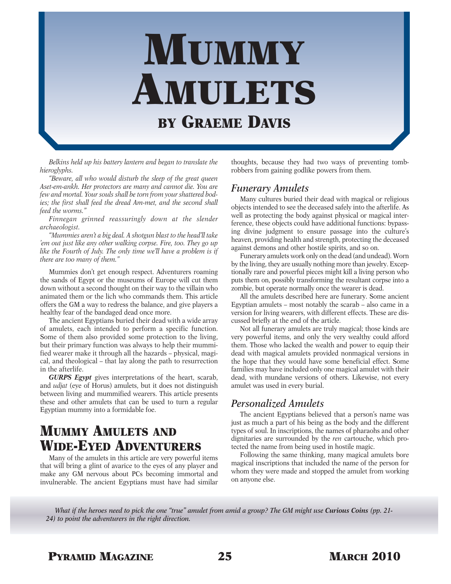## <span id="page-4-0"></span>MUMMY AMULETS BY GRAEME DAVIS

*Belkins held up his battery lantern and began to translate the hieroglyphs.*

*"Beware, all who would disturb the sleep of the great queen Aset-em-ankh. Her protectors are many and cannot die. You are few and mortal. Your souls shall be torn from your shattered bodies; the first shall feed the dread Am-met, and the second shall feed the worms."*

*Finnegan grinned reassuringly down at the slender archaeologist.*

*"Mummies aren't a big deal. A shotgun blast to the head'll take 'em out just like any other walking corpse. Fire, too. They go up like the Fourth of July. The only time we'll have a problem is if there are too many of them."*

Mummies don't get enough respect. Adventurers roaming the sands of Egypt or the museums of Europe will cut them down without a second thought on their way to the villain who animated them or the lich who commands them. This article offers the GM a way to redress the balance, and give players a healthy fear of the bandaged dead once more.

The ancient Egyptians buried their dead with a wide array of amulets, each intended to perform a specific function. Some of them also provided some protection to the living, but their primary function was always to help their mummified wearer make it through all the hazards – physical, magical, and theological – that lay along the path to resurrection in the afterlife.

*GURPS Egypt* gives interpretations of the heart, scarab, and *udjat* (eye of Horus) amulets, but it does not distinguish between living and mummified wearers. This article presents these and other amulets that can be used to turn a regular Egyptian mummy into a formidable foe.

## MUMMY AMULETS AND WIDE-EYED ADVENTURERS

Many of the amulets in this article are very powerful items that will bring a glint of avarice to the eyes of any player and make any GM nervous about PCs becoming immortal and invulnerable. The ancient Egyptians must have had similar thoughts, because they had two ways of preventing tombrobbers from gaining godlike powers from them.

#### *Funerary Amulets*

Many cultures buried their dead with magical or religious objects intended to see the deceased safely into the afterlife. As well as protecting the body against physical or magical interference, these objects could have additional functions: bypassing divine judgment to ensure passage into the culture's heaven, providing health and strength, protecting the deceased against demons and other hostile spirits, and so on.

Funerary amulets work only on the dead (and undead). Worn by the living, they are usually nothing more than jewelry. Exceptionally rare and powerful pieces might kill a living person who puts them on, possibly transforming the resultant corpse into a zombie, but operate normally once the wearer is dead.

All the amulets described here are funerary. Some ancient Egyptian amulets – most notably the scarab – also came in a version for living wearers, with different effects. These are discussed briefly at the end of the article.

Not all funerary amulets are truly magical; those kinds are very powerful items, and only the very wealthy could afford them. Those who lacked the wealth and power to equip their dead with magical amulets provided nonmagical versions in the hope that they would have some beneficial effect. Some families may have included only one magical amulet with their dead, with mundane versions of others. Likewise, not every amulet was used in every burial.

#### *Personalized Amulets*

The ancient Egyptians believed that a person's name was just as much a part of his being as the body and the different types of soul. In inscriptions, the names of pharaohs and other dignitaries are surrounded by the *ren* cartouche, which protected the name from being used in hostile magic.

Following the same thinking, many magical amulets bore magical inscriptions that included the name of the person for whom they were made and stopped the amulet from working on anyone else.

*What if the heroes need to pick the one "true" amulet from amid a group? The GM might use Curious Coins (pp. 21- 24) to point the adventurers in the right direction.*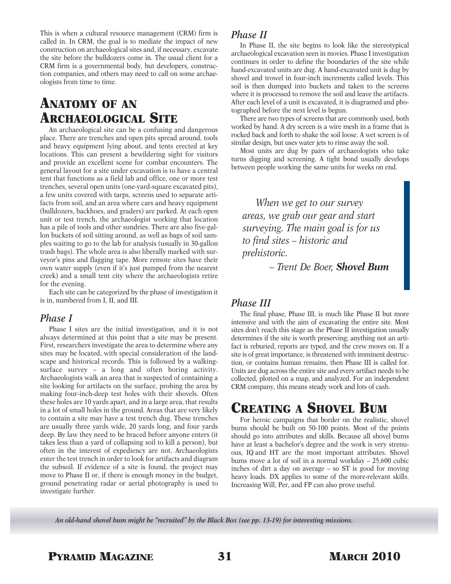This is when a cultural resource management (CRM) firm is called in. In CRM, the goal is to mediate the impact of new construction on archaeological sites and, if necessary, excavate the site before the bulldozers come in. The usual client for a CRM firm is a governmental body, but developers, construction companies, and others may need to call on some archaeologists from time to time.

## ANATOMY OF AN ARCHAEOLOGICAL SITE

An archaeological site can be a confusing and dangerous place. There are trenches and open pits spread around, tools and heavy equipment lying about, and tents erected at key locations. This can present a bewildering sight for visitors and provide an excellent scene for combat encounters. The general layout for a site under excavation is to have a central tent that functions as a field lab and office, one or more test trenches, several open units (one-yard-square excavated pits), a few units covered with tarps, screens used to separate artifacts from soil, and an area where cars and heavy equipment (bulldozers, backhoes, and graders) are parked. At each open unit or test trench, the archaeologist working that location has a pile of tools and other sundries. There are also five-gallon buckets of soil sitting around, as well as bags of soil samples waiting to go to the lab for analysis (usually in 30-gallon trash bags). The whole area is also liberally marked with surveyor's pins and flagging tape. More remote sites have their own water supply (even if it's just pumped from the nearest creek) and a small tent city where the archaeologists retire for the evening.

Each site can be categorized by the phase of investigation it is in, numbered from I, II, and III.

#### *Phase I*

Phase I sites are the initial investigation, and it is not always determined at this point that a site may be present. First, researchers investigate the area to determine where any sites may be located, with special consideration of the landscape and historical records. This is followed by a walkingsurface survey – a long and often boring activity. Archaeologists walk an area that is suspected of containing a site looking for artifacts on the surface, probing the area by making four-inch-deep test holes with their shovels. Often these holes are 10 yards apart, and in a large area, that results in a lot of small holes in the ground. Areas that are very likely to contain a site may have a test trench dug. These trenches are usually three yards wide, 20 yards long, and four yards deep. By law they need to be braced before anyone enters (it takes less than a yard of collapsing soil to kill a person), but often in the interest of expediency are not. Archaeologists enter the test trench in order to look for artifacts and diagram the subsoil. If evidence of a site is found, the project may move to Phase II or, if there is enough money in the budget, ground penetrating radar or aerial photography is used to investigate further.

#### *Phase II*

In Phase II, the site begins to look like the stereotypical archaeological excavation seen in movies. Phase I investigation continues in order to define the boundaries of the site while hand-excavated units are dug. A hand-excavated unit is dug by shovel and trowel in four-inch increments called levels. This soil is then dumped into buckets and taken to the screens where it is processed to remove the soil and leave the artifacts. After each level of a unit is excavated, it is diagramed and photographed before the next level is begun.

There are two types of screens that are commonly used, both worked by hand. A dry screen is a wire mesh in a frame that is rocked back and forth to shake the soil loose. A wet screen is of similar design, but uses water jets to rinse away the soil.

Most units are dug by pairs of archaeologists who take turns digging and screening. A tight bond usually develops between people working the same units for weeks on end.

*When we get to our survey areas, we grab our gear and start surveying. The main goal is for us to find sites – historic and prehistoric.*

*– Trent De Boer, Shovel Bum*

#### *Phase III*

The final phase, Phase III, is much like Phase II but more intensive and with the aim of excavating the entire site. Most sites don't reach this stage as the Phase II investigation usually determines if the site is worth preserving; anything not an artifact is reburied, reports are typed, and the crew moves on. If a site is of great importance, is threatened with imminent destruction, or contains human remains, then Phase III is called for. Units are dug across the entire site and every artifact needs to be collected, plotted on a map, and analyzed. For an independent CRM company, this means steady work and lots of cash.

## CREATING A SHOVEL BUM

For heroic campaigns that border on the realistic, shovel bums should be built on 50-100 points. Most of the points should go into attributes and skills. Because all shovel bums have at least a bachelor's degree and the work is very strenuous, IQ and HT are the most important attributes. Shovel bums move a lot of soil in a normal workday – 25,600 cubic inches of dirt a day on average – so ST is good for moving heavy loads. DX applies to some of the more-relevant skills. Increasing Will, Per, and FP can also prove useful.

*An old-hand shovel bum might be "recruited" by the Black Box (see pp. 13-19) for interesting missions.*

**PYRAMID MAGAZINE 31** MARCH 2010